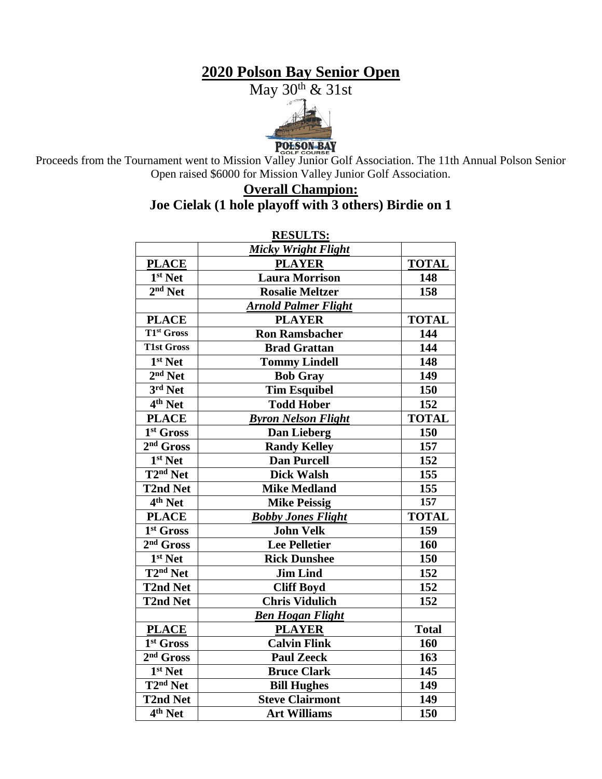## **2020 Polson Bay Senior Open**



POLSON BAY<br>Proceeds from the Tournament went to Mission Valley Junior Golf Association. The 11th Annual Polson Senior Open raised \$6000 for Mission Valley Junior Golf Association.

### **Overall Champion: Joe Cielak (1 hole playoff with 3 others) Birdie on 1**

| <b>RESULTS:</b>          |                             |              |  |  |
|--------------------------|-----------------------------|--------------|--|--|
|                          | Micky Wright Flight         |              |  |  |
| <b>PLACE</b>             | <b>PLAYER</b>               | <b>TOTAL</b> |  |  |
| 1 <sup>st</sup> Net      | <b>Laura Morrison</b>       | 148          |  |  |
| $2nd$ Net                | <b>Rosalie Meltzer</b>      | 158          |  |  |
|                          | <b>Arnold Palmer Flight</b> |              |  |  |
| <b>PLACE</b>             | <b>PLAYER</b>               | <b>TOTAL</b> |  |  |
| T1 <sup>st</sup> Gross   | <b>Ron Ramsbacher</b>       | 144          |  |  |
| <b>T1st Gross</b>        | <b>Brad Grattan</b>         | 144          |  |  |
| 1st Net                  | <b>Tommy Lindell</b>        | 148          |  |  |
| $2nd$ Net                | <b>Bob Gray</b>             | 149          |  |  |
| $3rd$ Net                | <b>Tim Esquibel</b>         | 150          |  |  |
| $4th$ Net                | <b>Todd Hober</b>           | 152          |  |  |
| <b>PLACE</b>             | <b>Byron Nelson Flight</b>  | <b>TOTAL</b> |  |  |
| 1st Gross                | <b>Dan Lieberg</b>          | 150          |  |  |
| $2nd$ Gross              | <b>Randy Kelley</b>         | 157          |  |  |
| 1 <sup>st</sup> Net      | <b>Dan Purcell</b>          | 152          |  |  |
| $\overline{T2^{nd}}$ Net | <b>Dick Walsh</b>           | 155          |  |  |
| <b>T2nd Net</b>          | <b>Mike Medland</b>         | 155          |  |  |
| $\overline{4^{th}}$ Net  | <b>Mike Peissig</b>         | 157          |  |  |
| <b>PLACE</b>             | <b>Bobby Jones Flight</b>   | <b>TOTAL</b> |  |  |
| 1st Gross                | <b>John Velk</b>            | 159          |  |  |
| $2nd$ Gross              | <b>Lee Pelletier</b>        | 160          |  |  |
| 1 <sup>st</sup> Net      | <b>Rick Dunshee</b>         | 150          |  |  |
| $\overline{T2^{nd}}$ Net | <b>Jim Lind</b>             | 152          |  |  |
| <b>T2nd Net</b>          | <b>Cliff Boyd</b>           | 152          |  |  |
| <b>T2nd Net</b>          | <b>Chris Vidulich</b>       | 152          |  |  |
|                          | <b>Ben Hogan Flight</b>     |              |  |  |
| <b>PLACE</b>             | <b>PLAYER</b>               | <b>Total</b> |  |  |
| 1 <sup>st</sup> Gross    | <b>Calvin Flink</b>         | 160          |  |  |
| $2nd$ Gross              | <b>Paul Zeeck</b>           | 163          |  |  |
| 1 <sup>st</sup> Net      | <b>Bruce Clark</b>          | 145          |  |  |
| $\overline{T2^{nd}}$ Net | <b>Bill Hughes</b>          | 149          |  |  |
| <b>T2nd Net</b>          | <b>Steve Clairmont</b>      | 149          |  |  |
| 4 <sup>th</sup> Net      | <b>Art Williams</b>         | 150          |  |  |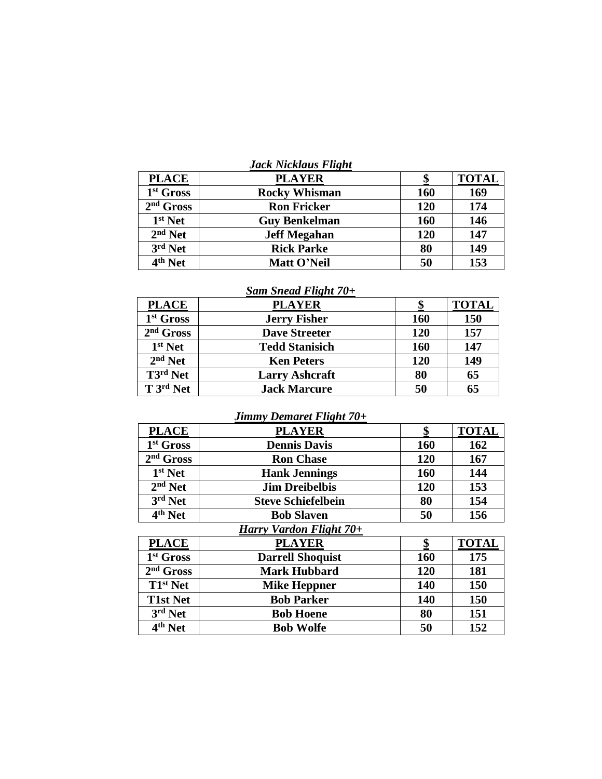| Jack Nicklaus Flight |  |
|----------------------|--|
|----------------------|--|

| <b>PLACE</b>          | <b>PLAYER</b>        |     | <b>TOTAL</b> |
|-----------------------|----------------------|-----|--------------|
| 1 <sup>st</sup> Gross | <b>Rocky Whisman</b> | 160 | 169          |
| $2nd$ Gross           | <b>Ron Fricker</b>   | 120 | 174          |
| 1 <sup>st</sup> Net   | <b>Guy Benkelman</b> | 160 | 146          |
| $2nd$ Net             | <b>Jeff Megahan</b>  | 120 | 147          |
| 3rd Net               | <b>Rick Parke</b>    | 80  | 149          |
| $4th$ Net             | Matt O'Neil          | 50  | 153          |

### *Sam Snead Flight 70+*

| <b>PLACE</b>                                | <b>PLAYER</b>         |            | <b>TOTAL</b> |
|---------------------------------------------|-----------------------|------------|--------------|
| 1 <sup>st</sup> Gross                       | <b>Jerry Fisher</b>   | <b>160</b> | 150          |
| $2nd$ Gross                                 | <b>Dave Streeter</b>  | 120        | 157          |
| $1st$ Net                                   | <b>Tedd Stanisich</b> | 160        | 147          |
| $2nd$ Net                                   | <b>Ken Peters</b>     | 120        | 149          |
| $\overline{\mathrm{T}}$ 3 <sup>rd</sup> Net | <b>Larry Ashcraft</b> | 80         | 65           |
| $\overline{T}$ 3 <sup>rd</sup> Net          | <b>Jack Marcure</b>   | 50         | 65           |

#### *Jimmy Demaret Flight 70+*

| <b>PLACE</b>                   | <b>PLAYER</b>             | \$         | <b>TOTAL</b> |
|--------------------------------|---------------------------|------------|--------------|
| 1 <sup>st</sup> Gross          | <b>Dennis Davis</b>       | <b>160</b> | 162          |
| $2nd$ Gross                    | <b>Ron Chase</b>          | 120        | 167          |
| $1st$ Net                      | <b>Hank Jennings</b>      | <b>160</b> | 144          |
| $2nd$ Net                      | <b>Jim Dreibelbis</b>     | 120        | 153          |
| 3rd Net                        | <b>Steve Schiefelbein</b> | 80         | 154          |
| 4 <sup>th</sup> Net            | <b>Bob Slaven</b>         | 50         | 156          |
| Harry Vardon Flight 70+        |                           |            |              |
| <b>PLACE</b>                   | <b>PLAYER</b>             | \$         | <b>TOTAL</b> |
| 1 <sup>st</sup> Gross          | <b>Darrell Shoquist</b>   | 160        | 175          |
| $2nd$ Gross                    | <b>Mark Hubbard</b>       | 120        | 181          |
| T1 <sup>st</sup> Net           | <b>Mike Heppner</b>       | 140        | 150          |
| <b>T1st Net</b>                | <b>Bob Parker</b>         | 140        | 150          |
| 3rd Net                        | <b>Bob Hoene</b>          | 80         | 151          |
| $\overline{4}^{\text{th}}$ Net | <b>Bob Wolfe</b>          | 50         | 152          |